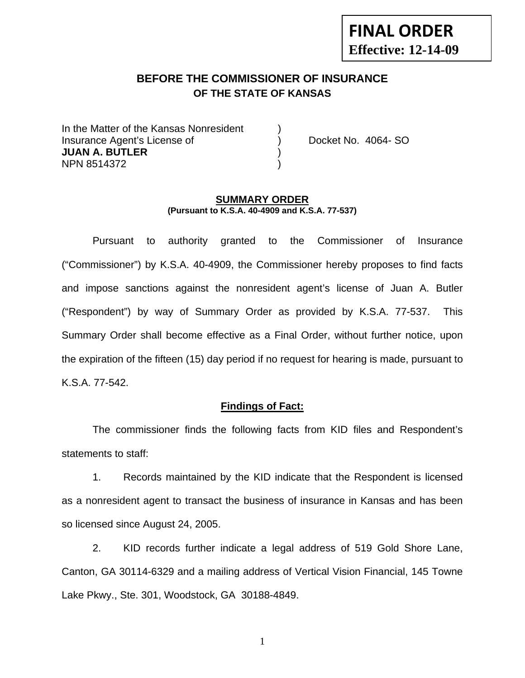# **FINAL ORDER Effective: 12-14-09**

## **BEFORE THE COMMISSIONER OF INSURANCE OF THE STATE OF KANSAS**

In the Matter of the Kansas Nonresident Insurance Agent's License of ) Docket No. 4064- SO **JUAN A. BUTLER** ) NPN 8514372 )

#### **SUMMARY ORDER (Pursuant to K.S.A. 40-4909 and K.S.A. 77-537)**

 Pursuant to authority granted to the Commissioner of Insurance ("Commissioner") by K.S.A. 40-4909, the Commissioner hereby proposes to find facts and impose sanctions against the nonresident agent's license of Juan A. Butler ("Respondent") by way of Summary Order as provided by K.S.A. 77-537. This Summary Order shall become effective as a Final Order, without further notice, upon the expiration of the fifteen (15) day period if no request for hearing is made, pursuant to K.S.A. 77-542.

#### **Findings of Fact:**

 The commissioner finds the following facts from KID files and Respondent's statements to staff:

 1. Records maintained by the KID indicate that the Respondent is licensed as a nonresident agent to transact the business of insurance in Kansas and has been so licensed since August 24, 2005.

 2. KID records further indicate a legal address of 519 Gold Shore Lane, Canton, GA 30114-6329 and a mailing address of Vertical Vision Financial, 145 Towne Lake Pkwy., Ste. 301, Woodstock, GA 30188-4849.

1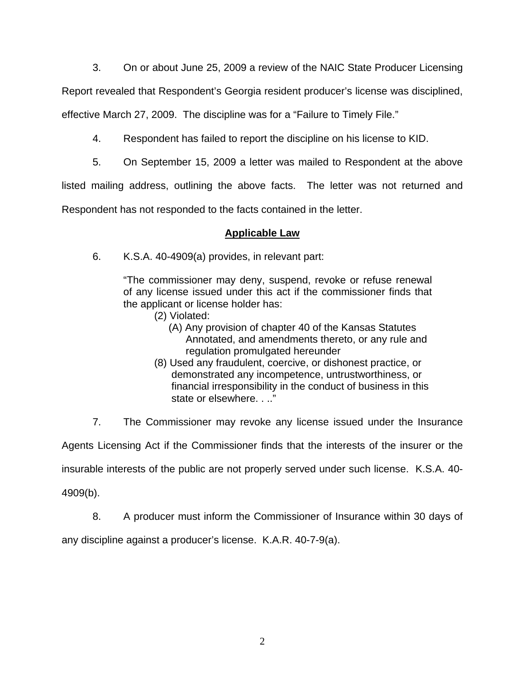3. On or about June 25, 2009 a review of the NAIC State Producer Licensing

Report revealed that Respondent's Georgia resident producer's license was disciplined,

effective March 27, 2009. The discipline was for a "Failure to Timely File."

- 4. Respondent has failed to report the discipline on his license to KID.
- 5. On September 15, 2009 a letter was mailed to Respondent at the above

listed mailing address, outlining the above facts. The letter was not returned and

Respondent has not responded to the facts contained in the letter.

#### **Applicable Law**

6. K.S.A. 40-4909(a) provides, in relevant part:

"The commissioner may deny, suspend, revoke or refuse renewal of any license issued under this act if the commissioner finds that the applicant or license holder has:

- (2) Violated:
	- (A) Any provision of chapter 40 of the Kansas Statutes Annotated, and amendments thereto, or any rule and regulation promulgated hereunder
- (8) Used any fraudulent, coercive, or dishonest practice, or demonstrated any incompetence, untrustworthiness, or financial irresponsibility in the conduct of business in this state or elsewhere. . .."

7. The Commissioner may revoke any license issued under the Insurance

Agents Licensing Act if the Commissioner finds that the interests of the insurer or the

insurable interests of the public are not properly served under such license. K.S.A. 40-

4909(b).

8. A producer must inform the Commissioner of Insurance within 30 days of

any discipline against a producer's license. K.A.R. 40-7-9(a).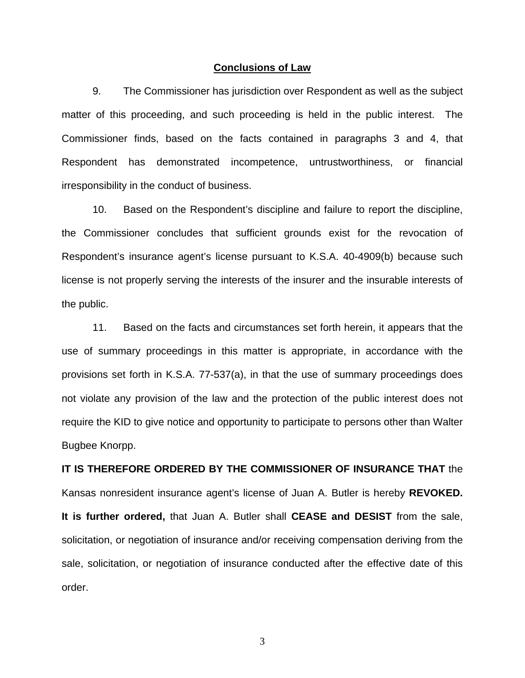#### **Conclusions of Law**

 9. The Commissioner has jurisdiction over Respondent as well as the subject matter of this proceeding, and such proceeding is held in the public interest. The Commissioner finds, based on the facts contained in paragraphs 3 and 4, that Respondent has demonstrated incompetence, untrustworthiness, or financial irresponsibility in the conduct of business.

 10. Based on the Respondent's discipline and failure to report the discipline, the Commissioner concludes that sufficient grounds exist for the revocation of Respondent's insurance agent's license pursuant to K.S.A. 40-4909(b) because such license is not properly serving the interests of the insurer and the insurable interests of the public.

 11. Based on the facts and circumstances set forth herein, it appears that the use of summary proceedings in this matter is appropriate, in accordance with the provisions set forth in K.S.A. 77-537(a), in that the use of summary proceedings does not violate any provision of the law and the protection of the public interest does not require the KID to give notice and opportunity to participate to persons other than Walter Bugbee Knorpp.

# **IT IS THEREFORE ORDERED BY THE COMMISSIONER OF INSURANCE THAT** the Kansas nonresident insurance agent's license of Juan A. Butler is hereby **REVOKED. It is further ordered,** that Juan A. Butler shall **CEASE and DESIST** from the sale, solicitation, or negotiation of insurance and/or receiving compensation deriving from the sale, solicitation, or negotiation of insurance conducted after the effective date of this order.

3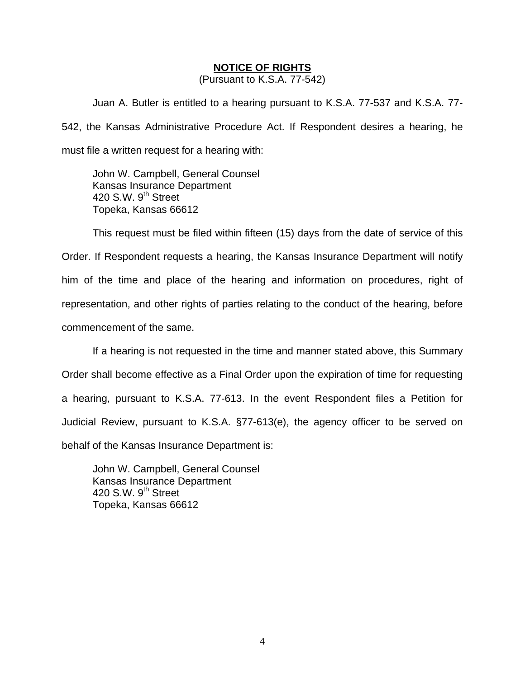#### **NOTICE OF RIGHTS**

(Pursuant to K.S.A. 77-542)

Juan A. Butler is entitled to a hearing pursuant to K.S.A. 77-537 and K.S.A. 77- 542, the Kansas Administrative Procedure Act. If Respondent desires a hearing, he must file a written request for a hearing with:

 John W. Campbell, General Counsel Kansas Insurance Department 420 S.W.  $9<sup>th</sup>$  Street Topeka, Kansas 66612

This request must be filed within fifteen (15) days from the date of service of this Order. If Respondent requests a hearing, the Kansas Insurance Department will notify him of the time and place of the hearing and information on procedures, right of representation, and other rights of parties relating to the conduct of the hearing, before commencement of the same.

If a hearing is not requested in the time and manner stated above, this Summary Order shall become effective as a Final Order upon the expiration of time for requesting a hearing, pursuant to K.S.A. 77-613. In the event Respondent files a Petition for Judicial Review, pursuant to K.S.A. §77-613(e), the agency officer to be served on behalf of the Kansas Insurance Department is:

 John W. Campbell, General Counsel Kansas Insurance Department 420 S.W. 9<sup>th</sup> Street Topeka, Kansas 66612